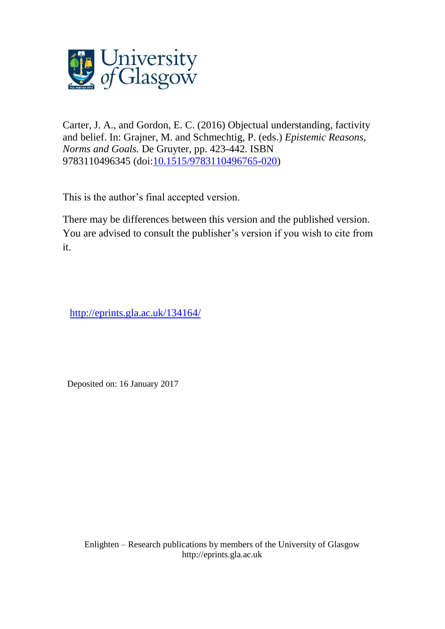

Carter, J. A., and Gordon, E. C. (2016) Objectual understanding, factivity and belief. In: Grajner, M. and Schmechtig, P. (eds.) *Epistemic Reasons, Norms and Goals.* De Gruyter, pp. 423-442. ISBN 9783110496345 (doi[:10.1515/9783110496765-020\)](http://dx.doi.org/10.1515/9783110496765-020)

This is the author's final accepted version.

There may be differences between this version and the published version. You are advised to consult the publisher's version if you wish to cite from it.

[http://eprints.gla.ac.uk/134164/](http://eprints.gla.ac.uk/134163/)

Deposited on: 16 January 2017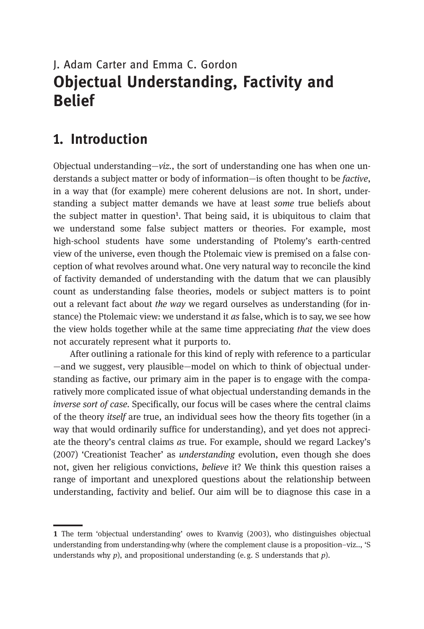# J. Adam Carter and Emma C. Gordon Objectual Understanding, Factivity and Belief

# 1. Introduction

Objectual understanding—viz., the sort of understanding one has when one understands a subject matter or body of information—is often thought to be *factive*, in a way that (for example) mere coherent delusions are not. In short, understanding a subject matter demands we have at least some true beliefs about the subject matter in question<sup>1</sup>. That being said, it is ubiquitous to claim that we understand some false subject matters or theories. For example, most high-school students have some understanding of Ptolemy's earth-centred view of the universe, even though the Ptolemaic view is premised on a false conception of what revolves around what. One very natural way to reconcile the kind of factivity demanded of understanding with the datum that we can plausibly count as understanding false theories, models or subject matters is to point out a relevant fact about the way we regard ourselves as understanding (for instance) the Ptolemaic view: we understand it as false, which is to say, we see how the view holds together while at the same time appreciating that the view does not accurately represent what it purports to.

After outlining a rationale for this kind of reply with reference to a particular —and we suggest, very plausible—model on which to think of objectual understanding as factive, our primary aim in the paper is to engage with the comparatively more complicated issue of what objectual understanding demands in the inverse sort of case. Specifically, our focus will be cases where the central claims of the theory itself are true, an individual sees how the theory fits together (in a way that would ordinarily suffice for understanding), and yet does not appreciate the theory's central claims as true. For example, should we regard Lackey's (2007) 'Creationist Teacher' as understanding evolution, even though she does not, given her religious convictions, believe it? We think this question raises a range of important and unexplored questions about the relationship between understanding, factivity and belief. Our aim will be to diagnose this case in a

<sup>1</sup> The term 'objectual understanding' owes to Kvanvig (2003), who distinguishes objectual understanding from understanding-why (where the complement clause is a proposition–viz.., 'S understands why  $p$ ), and propositional understanding (e.g. S understands that  $p$ ).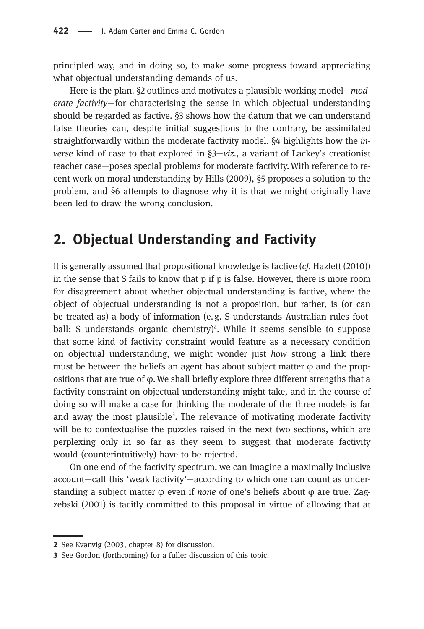principled way, and in doing so, to make some progress toward appreciating what objectual understanding demands of us.

Here is the plan. §2 outlines and motivates a plausible working model—moderate factivity—for characterising the sense in which objectual understanding should be regarded as factive. §3 shows how the datum that we can understand false theories can, despite initial suggestions to the contrary, be assimilated straightforwardly within the moderate factivity model. §4 highlights how the in*verse* kind of case to that explored in  $\S3 - viz$ , a variant of Lackey's creationist teacher case—poses special problems for moderate factivity.With reference to recent work on moral understanding by Hills (2009), §5 proposes a solution to the problem, and §6 attempts to diagnose why it is that we might originally have been led to draw the wrong conclusion.

## 2. Objectual Understanding and Factivity

It is generally assumed that propositional knowledge is factive (cf. Hazlett (2010)) in the sense that S fails to know that p if p is false. However, there is more room for disagreement about whether objectual understanding is factive, where the object of objectual understanding is not a proposition, but rather, is (or can be treated as) a body of information (e. g. S understands Australian rules football; S understands organic chemistry)<sup>2</sup>. While it seems sensible to suppose that some kind of factivity constraint would feature as a necessary condition on objectual understanding, we might wonder just how strong a link there must be between the beliefs an agent has about subject matter  $\varphi$  and the propositions that are true of  $\varphi$ . We shall briefly explore three different strengths that a factivity constraint on objectual understanding might take, and in the course of doing so will make a case for thinking the moderate of the three models is far and away the most plausible<sup>3</sup>. The relevance of motivating moderate factivity will be to contextualise the puzzles raised in the next two sections, which are perplexing only in so far as they seem to suggest that moderate factivity would (counterintuitively) have to be rejected.

On one end of the factivity spectrum, we can imagine a maximally inclusive account—call this 'weak factivity'—according to which one can count as understanding a subject matter  $\varphi$  even if *none* of one's beliefs about  $\varphi$  are true. Zagzebski (2001) is tacitly committed to this proposal in virtue of allowing that at

<sup>2</sup> See Kvanvig (2003, chapter 8) for discussion.

<sup>3</sup> See Gordon (forthcoming) for a fuller discussion of this topic.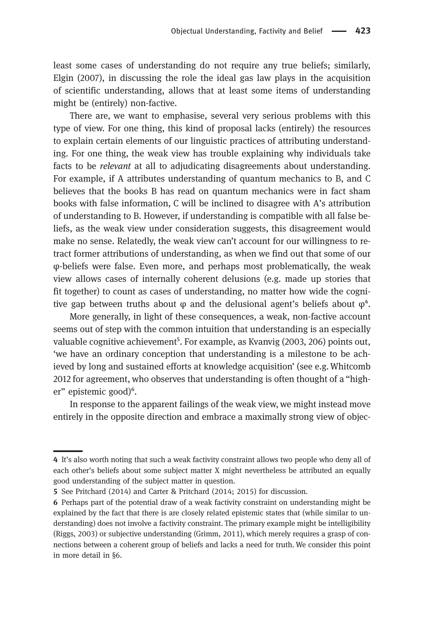least some cases of understanding do not require any true beliefs; similarly, Elgin (2007), in discussing the role the ideal gas law plays in the acquisition of scientific understanding, allows that at least some items of understanding might be (entirely) non-factive.

There are, we want to emphasise, several very serious problems with this type of view. For one thing, this kind of proposal lacks (entirely) the resources to explain certain elements of our linguistic practices of attributing understanding. For one thing, the weak view has trouble explaining why individuals take facts to be relevant at all to adjudicating disagreements about understanding. For example, if A attributes understanding of quantum mechanics to B, and C believes that the books B has read on quantum mechanics were in fact sham books with false information, C will be inclined to disagree with A's attribution of understanding to B. However, if understanding is compatible with all false beliefs, as the weak view under consideration suggests, this disagreement would make no sense. Relatedly, the weak view can't account for our willingness to retract former attributions of understanding, as when we find out that some of our φ-beliefs were false. Even more, and perhaps most problematically, the weak view allows cases of internally coherent delusions (e.g. made up stories that fit together) to count as cases of understanding, no matter how wide the cognitive gap between truths about  $\varphi$  and the delusional agent's beliefs about  $\varphi^4$ .

More generally, in light of these consequences, a weak, non-factive account seems out of step with the common intuition that understanding is an especially valuable cognitive achievement<sup>5</sup>. For example, as Kvanvig (2003, 206) points out, 'we have an ordinary conception that understanding is a milestone to be achieved by long and sustained efforts at knowledge acquisition' (see e.g.Whitcomb 2012 for agreement, who observes that understanding is often thought of a "higher" epistemic good)<sup>6</sup>.

In response to the apparent failings of the weak view, we might instead move entirely in the opposite direction and embrace a maximally strong view of objec-

<sup>4</sup> It's also worth noting that such a weak factivity constraint allows two people who deny all of each other's beliefs about some subject matter X might nevertheless be attributed an equally good understanding of the subject matter in question.

<sup>5</sup> See Pritchard (2014) and Carter & Pritchard (2014; 2015) for discussion.

Perhaps part of the potential draw of a weak factivity constraint on understanding might be explained by the fact that there is are closely related epistemic states that (while similar to understanding) does not involve a factivity constraint. The primary example might be intelligibility  $(Riggs, 2003)$  or subjective understanding  $(Grimm, 2011)$ , which merely requires a grasp of connections between a coherent group of beliefs and lacks a need for truth. We consider this point in more detail in §6.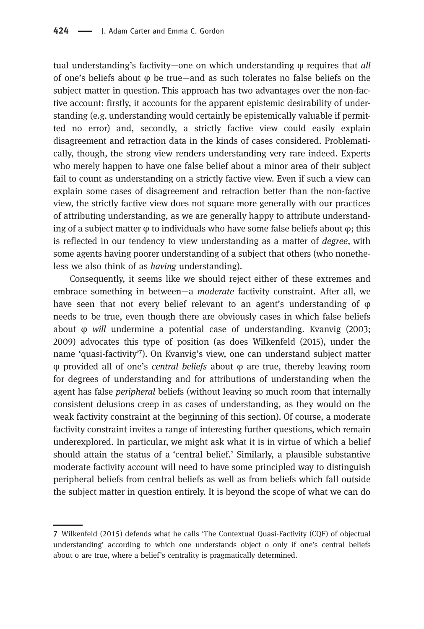tual understanding's factivity—one on which understanding  $\varphi$  requires that all of one's beliefs about φ be true—and as such tolerates no false beliefs on the subject matter in question. This approach has two advantages over the non-factive account: firstly, it accounts for the apparent epistemic desirability of understanding (e.g. understanding would certainly be epistemically valuable if permitted no error) and, secondly, a strictly factive view could easily explain disagreement and retraction data in the kinds of cases considered. Problematically, though, the strong view renders understanding very rare indeed. Experts who merely happen to have one false belief about a minor area of their subject fail to count as understanding on a strictly factive view. Even if such a view can explain some cases of disagreement and retraction better than the non-factive view, the strictly factive view does not square more generally with our practices of attributing understanding, as we are generally happy to attribute understanding of a subject matter  $\varphi$  to individuals who have some false beliefs about  $\varphi$ ; this is reflected in our tendency to view understanding as a matter of *degree*, with some agents having poorer understanding of a subject that others (who nonetheless we also think of as having understanding).

Consequently, it seems like we should reject either of these extremes and embrace something in between—a moderate factivity constraint. After all, we have seen that not every belief relevant to an agent's understanding of  $\varphi$ needs to be true, even though there are obviously cases in which false beliefs about φ will undermine a potential case of understanding. Kvanvig (2003; 2009) advocates this type of position (as does Wilkenfeld (2015), under the name 'quasi-factivity''). On Kvanvig's view, one can understand subject matter φ provided all of one's *central beliefs* about  $φ$  are true, thereby leaving room for degrees of understanding and for attributions of understanding when the agent has false peripheral beliefs (without leaving so much room that internally consistent delusions creep in as cases of understanding, as they would on the weak factivity constraint at the beginning of this section). Of course, a moderate factivity constraint invites a range of interesting further questions, which remain underexplored. In particular, we might ask what it is in virtue of which a belief should attain the status of a 'central belief.' Similarly, a plausible substantive moderate factivity account will need to have some principled way to distinguish peripheral beliefs from central beliefs as well as from beliefs which fall outside the subject matter in question entirely. It is beyond the scope of what we can do

<sup>7</sup> Wilkenfeld (2015) defends what he calls 'The Contextual Quasi-Factivity (CQF) of objectual understanding' according to which one understands object o only if one's central beliefs about o are true, where a belief's centrality is pragmatically determined.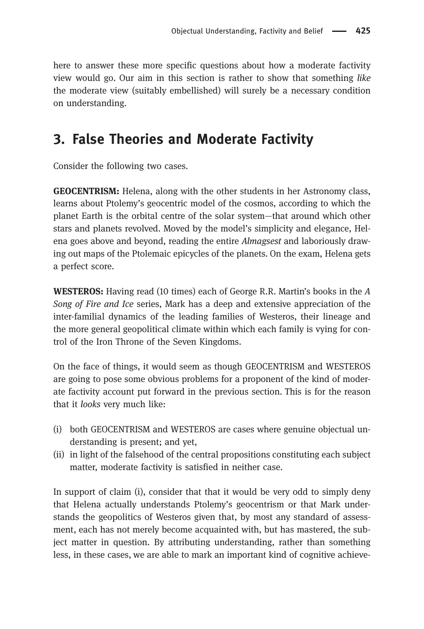here to answer these more specific questions about how a moderate factivity view would go. Our aim in this section is rather to show that something like the moderate view (suitably embellished) will surely be a necessary condition on understanding.

# 3. False Theories and Moderate Factivity

Consider the following two cases.

GEOCENTRISM: Helena, along with the other students in her Astronomy class, learns about Ptolemy's geocentric model of the cosmos, according to which the planet Earth is the orbital centre of the solar system—that around which other stars and planets revolved. Moved by the model's simplicity and elegance, Helena goes above and beyond, reading the entire *Almagsest* and laboriously drawing out maps of the Ptolemaic epicycles of the planets. On the exam, Helena gets a perfect score.

WESTEROS: Having read (10 times) each of George R.R. Martin's books in the A Song of Fire and Ice series, Mark has a deep and extensive appreciation of the inter-familial dynamics of the leading families of Westeros, their lineage and the more general geopolitical climate within which each family is vying for control of the Iron Throne of the Seven Kingdoms.

On the face of things, it would seem as though GEOCENTRISM and WESTEROS are going to pose some obvious problems for a proponent of the kind of moderate factivity account put forward in the previous section. This is for the reason that it looks very much like:

- (i) both GEOCENTRISM and WESTEROS are cases where genuine objectual understanding is present; and yet,
- (ii) in light of the falsehood of the central propositions constituting each subject matter, moderate factivity is satisfied in neither case.

In support of claim (i), consider that that it would be very odd to simply deny that Helena actually understands Ptolemy's geocentrism or that Mark understands the geopolitics of Westeros given that, by most any standard of assessment, each has not merely become acquainted with, but has mastered, the subject matter in question. By attributing understanding, rather than something less, in these cases, we are able to mark an important kind of cognitive achieve-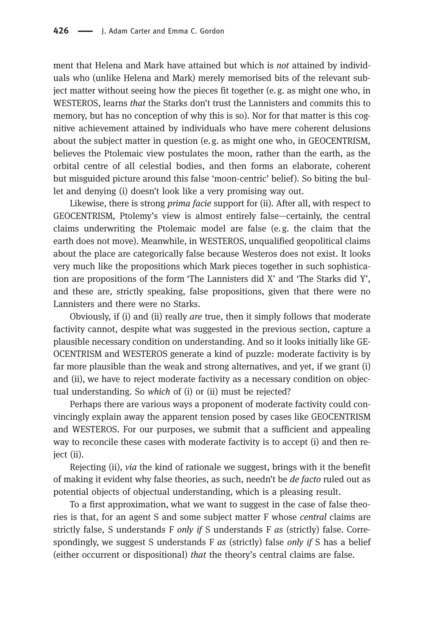ment that Helena and Mark have attained but which is not attained by individuals who (unlike Helena and Mark) merely memorised bits of the relevant subject matter without seeing how the pieces fit together (e. g. as might one who, in WESTEROS, learns that the Starks don't trust the Lannisters and commits this to memory, but has no conception of why this is so). Nor for that matter is this cognitive achievement attained by individuals who have mere coherent delusions about the subject matter in question (e. g. as might one who, in GEOCENTRISM, believes the Ptolemaic view postulates the moon, rather than the earth, as the orbital centre of all celestial bodies, and then forms an elaborate, coherent but misguided picture around this false 'moon-centric' belief). So biting the bullet and denying (i) doesn't look like a very promising way out.

Likewise, there is strong *prima facie* support for (ii). After all, with respect to GEOCENTRISM, Ptolemy's view is almost entirely false—certainly, the central claims underwriting the Ptolemaic model are false (e. g. the claim that the earth does not move). Meanwhile, in WESTEROS, unqualified geopolitical claims about the place are categorically false because Westeros does not exist. It looks very much like the propositions which Mark pieces together in such sophistication are propositions of the form 'The Lannisters did X' and 'The Starks did Y', and these are, strictly speaking, false propositions, given that there were no Lannisters and there were no Starks.

Obviously, if (i) and (ii) really are true, then it simply follows that moderate factivity cannot, despite what was suggested in the previous section, capture a plausible necessary condition on understanding. And so it looks initially like GE-OCENTRISM and WESTEROS generate a kind of puzzle: moderate factivity is by far more plausible than the weak and strong alternatives, and yet, if we grant (i) and (ii), we have to reject moderate factivity as a necessary condition on objectual understanding. So which of (i) or (ii) must be rejected?

Perhaps there are various ways a proponent of moderate factivity could convincingly explain away the apparent tension posed by cases like GEOCENTRISM and WESTEROS. For our purposes, we submit that a sufficient and appealing way to reconcile these cases with moderate factivity is to accept (i) and then reject (ii).

Rejecting (ii), via the kind of rationale we suggest, brings with it the benefit of making it evident why false theories, as such, needn't be de facto ruled out as potential objects of objectual understanding, which is a pleasing result.

To a first approximation, what we want to suggest in the case of false theories is that, for an agent S and some subject matter F whose *central* claims are strictly false, S understands F *only if* S understands F  $as$  (strictly) false. Correspondingly, we suggest S understands F  $as$  (strictly) false only if S has a belief (either occurrent or dispositional) that the theory's central claims are false.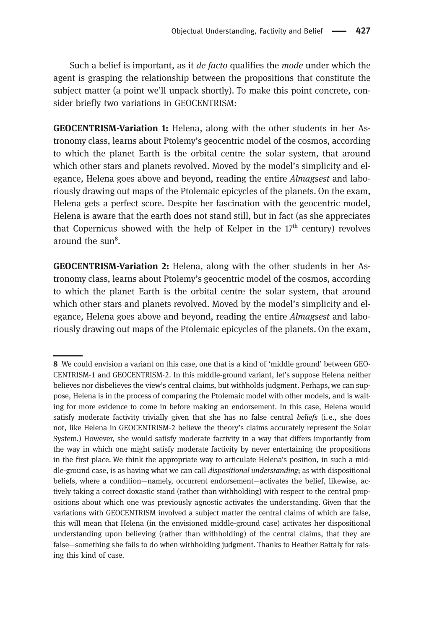Such a belief is important, as it de facto qualifies the mode under which the agent is grasping the relationship between the propositions that constitute the subject matter (a point we'll unpack shortly). To make this point concrete, consider briefly two variations in GEOCENTRISM:

GEOCENTRISM-Variation 1: Helena, along with the other students in her Astronomy class, learns about Ptolemy's geocentric model of the cosmos, according to which the planet Earth is the orbital centre the solar system, that around which other stars and planets revolved. Moved by the model's simplicity and elegance, Helena goes above and beyond, reading the entire Almagsest and laboriously drawing out maps of the Ptolemaic epicycles of the planets. On the exam, Helena gets a perfect score. Despite her fascination with the geocentric model, Helena is aware that the earth does not stand still, but in fact (as she appreciates that Copernicus showed with the help of Kelper in the  $17<sup>th</sup>$  century) revolves around the sun<sup>8</sup>.

GEOCENTRISM-Variation 2: Helena, along with the other students in her Astronomy class, learns about Ptolemy's geocentric model of the cosmos, according to which the planet Earth is the orbital centre the solar system, that around which other stars and planets revolved. Moved by the model's simplicity and elegance, Helena goes above and beyond, reading the entire Almagsest and laboriously drawing out maps of the Ptolemaic epicycles of the planets. On the exam,

We could envision a variant on this case, one that is a kind of 'middle ground' between GEO-CENTRISM-1 and GEOCENTRISM-2. In this middle-ground variant, let's suppose Helena neither believes nor disbelieves the view's central claims, but withholds judgment. Perhaps, we can suppose, Helena is in the process of comparing the Ptolemaic model with other models, and is waiting for more evidence to come in before making an endorsement. In this case, Helena would satisfy moderate factivity trivially given that she has no false central *beliefs* (i.e., she does not, like Helena in GEOCENTRISM-2 believe the theory's claims accurately represent the Solar System.) However, she would satisfy moderate factivity in a way that differs importantly from the way in which one might satisfy moderate factivity by never entertaining the propositions in the first place. We think the appropriate way to articulate Helena's position, in such a middle-ground case, is as having what we can call dispositional understanding; as with dispositional beliefs, where a condition—namely, occurrent endorsement—activates the belief, likewise, actively taking a correct doxastic stand (rather than withholding) with respect to the central propositions about which one was previously agnostic activates the understanding. Given that the variations with GEOCENTRISM involved a subject matter the central claims of which are false, this will mean that Helena (in the envisioned middle-ground case) activates her dispositional understanding upon believing (rather than withholding) of the central claims, that they are false—something she fails to do when withholding judgment. Thanks to Heather Battaly for raising this kind of case.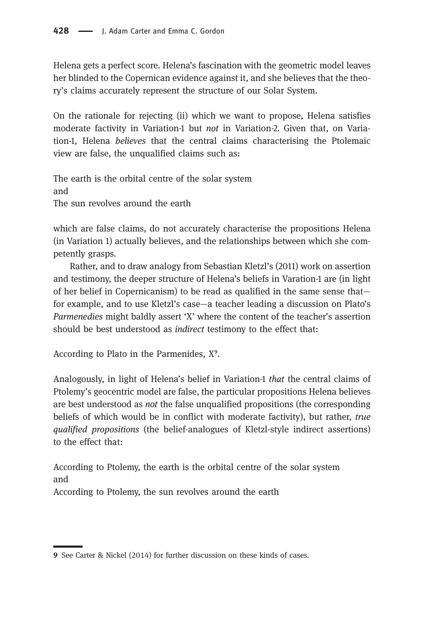Helena gets a perfect score. Helena's fascination with the geometric model leaves her blinded to the Copernican evidence against it, and she believes that the theory's claims accurately represent the structure of our Solar System.

On the rationale for rejecting (ii) which we want to propose, Helena satisfies moderate factivity in Variation-1 but not in Variation-2. Given that, on Variation-1, Helena believes that the central claims characterising the Ptolemaic view are false, the unqualified claims such as:

The earth is the orbital centre of the solar system and The sun revolves around the earth

which are false claims, do not accurately characterise the propositions Helena (in Variation 1) actually believes, and the relationships between which she competently grasps.

Rather, and to draw analogy from Sebastian Kletzl's (2011) work on assertion and testimony, the deeper structure of Helena's beliefs in Varation-1 are (in light of her belief in Copernicanism) to be read as qualified in the same sense that for example, and to use Kletzl's case—a teacher leading a discussion on Plato's Parmenedies might baldly assert 'X' where the content of the teacher's assertion should be best understood as indirect testimony to the effect that:

According to Plato in the Parmenides,  $X^9$ .

Analogously, in light of Helena's belief in Variation-1 that the central claims of Ptolemy's geocentric model are false, the particular propositions Helena believes are best understood as not the false unqualified propositions (the corresponding beliefs of which would be in conflict with moderate factivity), but rather, true qualified propositions (the belief-analogues of Kletzl-style indirect assertions) to the effect that:

According to Ptolemy, the earth is the orbital centre of the solar system and

According to Ptolemy, the sun revolves around the earth

<sup>9</sup> See Carter & Nickel (2014) for further discussion on these kinds of cases.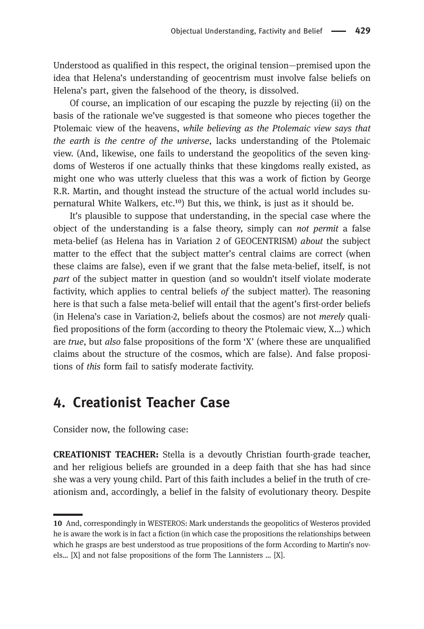Understood as qualified in this respect, the original tension—premised upon the idea that Helena's understanding of geocentrism must involve false beliefs on Helena's part, given the falsehood of the theory, is dissolved.

Of course, an implication of our escaping the puzzle by rejecting (ii) on the basis of the rationale we've suggested is that someone who pieces together the Ptolemaic view of the heavens, while believing as the Ptolemaic view says that the earth is the centre of the universe, lacks understanding of the Ptolemaic view. (And, likewise, one fails to understand the geopolitics of the seven kingdoms of Westeros if one actually thinks that these kingdoms really existed, as might one who was utterly clueless that this was a work of fiction by George R.R. Martin, and thought instead the structure of the actual world includes supernatural White Walkers, etc.<sup>10</sup>) But this, we think, is just as it should be.

It's plausible to suppose that understanding, in the special case where the object of the understanding is a false theory, simply can not permit a false meta-belief (as Helena has in Variation 2 of GEOCENTRISM) about the subject matter to the effect that the subject matter's central claims are correct (when these claims are false), even if we grant that the false meta-belief, itself, is not part of the subject matter in question (and so wouldn't itself violate moderate factivity, which applies to central beliefs of the subject matter). The reasoning here is that such a false meta-belief will entail that the agent's first-order beliefs (in Helena's case in Variation-2, beliefs about the cosmos) are not merely qualified propositions of the form (according to theory the Ptolemaic view, X…) which are true, but also false propositions of the form 'X' (where these are unqualified claims about the structure of the cosmos, which are false). And false propositions of this form fail to satisfy moderate factivity.

#### 4. Creationist Teacher Case

Consider now, the following case:

CREATIONIST TEACHER: Stella is a devoutly Christian fourth-grade teacher, and her religious beliefs are grounded in a deep faith that she has had since she was a very young child. Part of this faith includes a belief in the truth of creationism and, accordingly, a belief in the falsity of evolutionary theory. Despite

<sup>10</sup> And, correspondingly in WESTEROS: Mark understands the geopolitics of Westeros provided he is aware the work is in fact a fiction (in which case the propositions the relationships between which he grasps are best understood as true propositions of the form According to Martin's novels… [X] and not false propositions of the form The Lannisters … [X].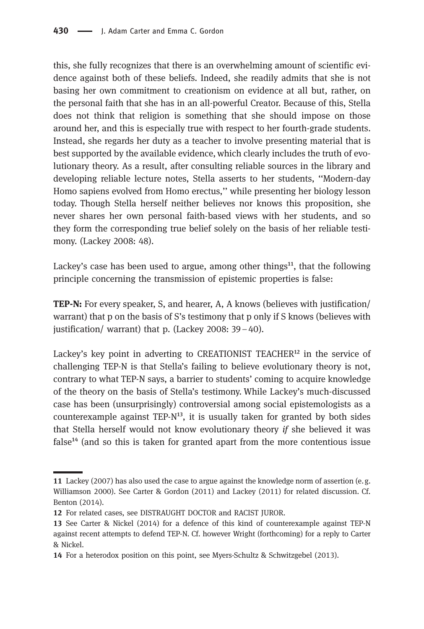this, she fully recognizes that there is an overwhelming amount of scientific evidence against both of these beliefs. Indeed, she readily admits that she is not basing her own commitment to creationism on evidence at all but, rather, on the personal faith that she has in an all-powerful Creator. Because of this, Stella does not think that religion is something that she should impose on those around her, and this is especially true with respect to her fourth-grade students. Instead, she regards her duty as a teacher to involve presenting material that is best supported by the available evidence, which clearly includes the truth of evolutionary theory. As a result, after consulting reliable sources in the library and developing reliable lecture notes, Stella asserts to her students, ''Modern-day Homo sapiens evolved from Homo erectus,'' while presenting her biology lesson today. Though Stella herself neither believes nor knows this proposition, she never shares her own personal faith-based views with her students, and so they form the corresponding true belief solely on the basis of her reliable testimony. (Lackey 2008: 48).

Lackey's case has been used to argue, among other things $^{11}$ , that the following principle concerning the transmission of epistemic properties is false:

TEP-N: For every speaker, S, and hearer, A, A knows (believes with justification/ warrant) that p on the basis of S's testimony that p only if S knows (believes with justification/ warrant) that p. (Lackey 2008: 39–40).

Lackey's key point in adverting to CREATIONIST TEACHER $^{12}$  in the service of challenging TEP-N is that Stella's failing to believe evolutionary theory is not, contrary to what TEP-N says, a barrier to students' coming to acquire knowledge of the theory on the basis of Stella's testimony. While Lackey's much-discussed case has been (unsurprisingly) controversial among social epistemologists as a counterexample against  $TEP-N<sup>13</sup>$ , it is usually taken for granted by both sides that Stella herself would not know evolutionary theory if she believed it was false<sup> $14$ </sup> (and so this is taken for granted apart from the more contentious issue

<sup>11</sup> Lackey (2007) has also used the case to argue against the knowledge norm of assertion (e.g. Williamson 2000). See Carter & Gordon (2011) and Lackey (2011) for related discussion. Cf. Benton (2014).

<sup>12</sup> For related cases, see DISTRAUGHT DOCTOR and RACIST JUROR.

<sup>13</sup> See Carter & Nickel (2014) for a defence of this kind of counterexample against TEP-N against recent attempts to defend TEP-N. Cf. however Wright (forthcoming) for a reply to Carter & Nickel.

<sup>14</sup> For a heterodox position on this point, see Myers-Schultz & Schwitzgebel (2013).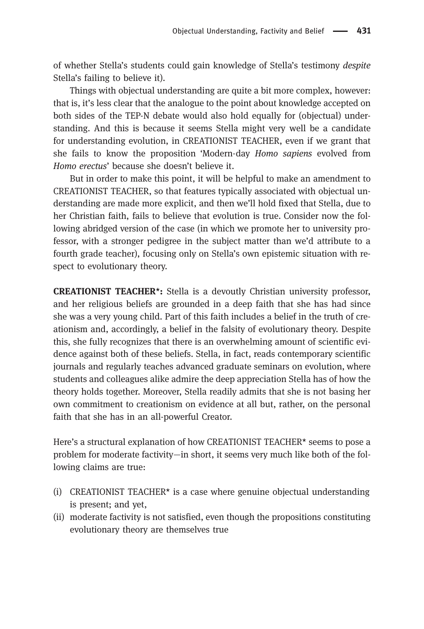of whether Stella's students could gain knowledge of Stella's testimony despite Stella's failing to believe it).

Things with objectual understanding are quite a bit more complex, however: that is, it's less clear that the analogue to the point about knowledge accepted on both sides of the TEP-N debate would also hold equally for (objectual) understanding. And this is because it seems Stella might very well be a candidate for understanding evolution, in CREATIONIST TEACHER, even if we grant that she fails to know the proposition 'Modern-day Homo sapiens evolved from Homo erectus' because she doesn't believe it.

But in order to make this point, it will be helpful to make an amendment to CREATIONIST TEACHER, so that features typically associated with objectual understanding are made more explicit, and then we'll hold fixed that Stella, due to her Christian faith, fails to believe that evolution is true. Consider now the following abridged version of the case (in which we promote her to university professor, with a stronger pedigree in the subject matter than we'd attribute to a fourth grade teacher), focusing only on Stella's own epistemic situation with respect to evolutionary theory.

CREATIONIST TEACHER\*: Stella is a devoutly Christian university professor, and her religious beliefs are grounded in a deep faith that she has had since she was a very young child. Part of this faith includes a belief in the truth of creationism and, accordingly, a belief in the falsity of evolutionary theory. Despite this, she fully recognizes that there is an overwhelming amount of scientific evidence against both of these beliefs. Stella, in fact, reads contemporary scientific journals and regularly teaches advanced graduate seminars on evolution, where students and colleagues alike admire the deep appreciation Stella has of how the theory holds together. Moreover, Stella readily admits that she is not basing her own commitment to creationism on evidence at all but, rather, on the personal faith that she has in an all-powerful Creator.

Here's a structural explanation of how CREATIONIST TEACHER\* seems to pose a problem for moderate factivity—in short, it seems very much like both of the following claims are true:

- (i) CREATIONIST TEACHER\* is a case where genuine objectual understanding is present; and yet,
- (ii) moderate factivity is not satisfied, even though the propositions constituting evolutionary theory are themselves true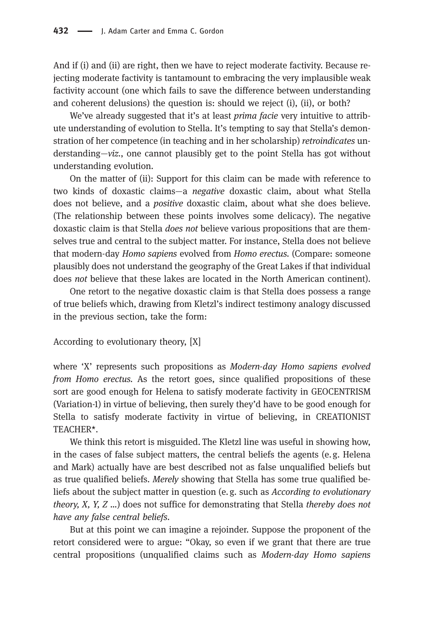And if (i) and (ii) are right, then we have to reject moderate factivity. Because rejecting moderate factivity is tantamount to embracing the very implausible weak factivity account (one which fails to save the difference between understanding and coherent delusions) the question is: should we reject (i), (ii), or both?

We've already suggested that it's at least *prima facie* very intuitive to attribute understanding of evolution to Stella. It's tempting to say that Stella's demonstration of her competence (in teaching and in her scholarship) *retroindicates* understanding—viz., one cannot plausibly get to the point Stella has got without understanding evolution.

On the matter of (ii): Support for this claim can be made with reference to two kinds of doxastic claims—a negative doxastic claim, about what Stella does not believe, and a positive doxastic claim, about what she does believe. (The relationship between these points involves some delicacy). The negative doxastic claim is that Stella does not believe various propositions that are themselves true and central to the subject matter. For instance, Stella does not believe that modern-day Homo sapiens evolved from Homo erectus. (Compare: someone plausibly does not understand the geography of the Great Lakes if that individual does not believe that these lakes are located in the North American continent).

One retort to the negative doxastic claim is that Stella does possess a range of true beliefs which, drawing from Kletzl's indirect testimony analogy discussed in the previous section, take the form:

According to evolutionary theory, [X]

where 'X' represents such propositions as Modern-day Homo sapiens evolved from Homo erectus. As the retort goes, since qualified propositions of these sort are good enough for Helena to satisfy moderate factivity in GEOCENTRISM (Variation-1) in virtue of believing, then surely they'd have to be good enough for Stella to satisfy moderate factivity in virtue of believing, in CREATIONIST TEACHER\*.

We think this retort is misguided. The Kletzl line was useful in showing how, in the cases of false subject matters, the central beliefs the agents (e. g. Helena and Mark) actually have are best described not as false unqualified beliefs but as true qualified beliefs. Merely showing that Stella has some true qualified beliefs about the subject matter in question (e. g. such as According to evolutionary theory, X, Y, Z …) does not suffice for demonstrating that Stella thereby does not have any false central beliefs.

But at this point we can imagine a rejoinder. Suppose the proponent of the retort considered were to argue: "Okay, so even if we grant that there are true central propositions (unqualified claims such as Modern-day Homo sapiens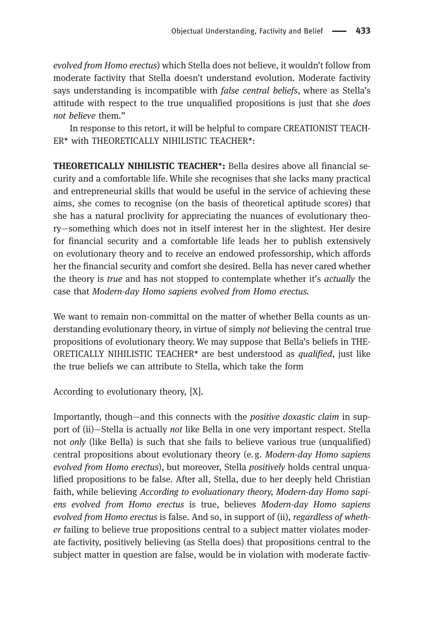evolved from Homo erectus) which Stella does not believe, it wouldn't follow from moderate factivity that Stella doesn't understand evolution. Moderate factivity says understanding is incompatible with *false central beliefs*, where as Stella's attitude with respect to the true unqualified propositions is just that she does not believe them."

In response to this retort, it will be helpful to compare CREATIONIST TEACH-ER\* with THEORETICALLY NIHILISTIC TEACHER\*:

THEORETICALLY NIHILISTIC TEACHER\*: Bella desires above all financial security and a comfortable life. While she recognises that she lacks many practical and entrepreneurial skills that would be useful in the service of achieving these aims, she comes to recognise (on the basis of theoretical aptitude scores) that she has a natural proclivity for appreciating the nuances of evolutionary theory—something which does not in itself interest her in the slightest. Her desire for financial security and a comfortable life leads her to publish extensively on evolutionary theory and to receive an endowed professorship, which affords her the financial security and comfort she desired. Bella has never cared whether the theory is true and has not stopped to contemplate whether it's actually the case that Modern-day Homo sapiens evolved from Homo erectus.

We want to remain non-committal on the matter of whether Bella counts as understanding evolutionary theory, in virtue of simply not believing the central true propositions of evolutionary theory. We may suppose that Bella's beliefs in THE-ORETICALLY NIHILISTIC TEACHER\* are best understood as qualified, just like the true beliefs we can attribute to Stella, which take the form

According to evolutionary theory, [X].

Importantly, though—and this connects with the positive doxastic claim in support of (ii)—Stella is actually not like Bella in one very important respect. Stella not only (like Bella) is such that she fails to believe various true (unqualified) central propositions about evolutionary theory (e. g. Modern-day Homo sapiens evolved from Homo erectus), but moreover, Stella positively holds central unqualified propositions to be false. After all, Stella, due to her deeply held Christian faith, while believing According to evoluationary theory, Modern-day Homo sapiens evolved from Homo erectus is true, believes Modern-day Homo sapiens evolved from Homo erectus is false. And so, in support of (ii), regardless of whether failing to believe true propositions central to a subject matter violates moderate factivity, positively believing (as Stella does) that propositions central to the subject matter in question are false, would be in violation with moderate factiv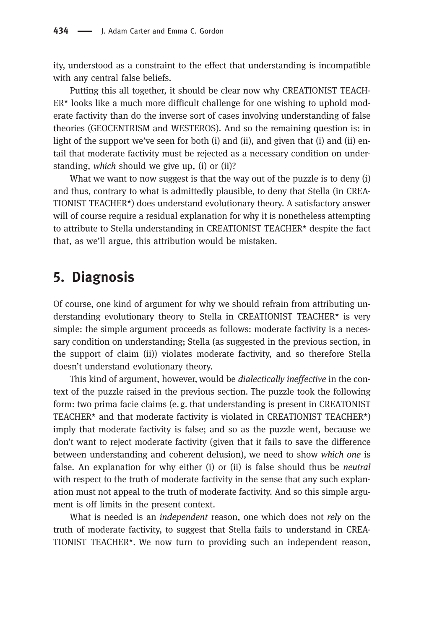ity, understood as a constraint to the effect that understanding is incompatible with any central false beliefs.

Putting this all together, it should be clear now why CREATIONIST TEACH-ER\* looks like a much more difficult challenge for one wishing to uphold moderate factivity than do the inverse sort of cases involving understanding of false theories (GEOCENTRISM and WESTEROS). And so the remaining question is: in light of the support we've seen for both (i) and (ii), and given that (i) and (ii) entail that moderate factivity must be rejected as a necessary condition on understanding, which should we give up, (i) or (ii)?

What we want to now suggest is that the way out of the puzzle is to deny (i) and thus, contrary to what is admittedly plausible, to deny that Stella (in CREA-TIONIST TEACHER\*) does understand evolutionary theory. A satisfactory answer will of course require a residual explanation for why it is nonetheless attempting to attribute to Stella understanding in CREATIONIST TEACHER\* despite the fact that, as we'll argue, this attribution would be mistaken.

# 5. Diagnosis

Of course, one kind of argument for why we should refrain from attributing understanding evolutionary theory to Stella in CREATIONIST TEACHER\* is very simple: the simple argument proceeds as follows: moderate factivity is a necessary condition on understanding; Stella (as suggested in the previous section, in the support of claim (ii)) violates moderate factivity, and so therefore Stella doesn't understand evolutionary theory.

This kind of argument, however, would be dialectically ineffective in the context of the puzzle raised in the previous section. The puzzle took the following form: two prima facie claims (e. g. that understanding is present in CREATONIST TEACHER\* and that moderate factivity is violated in CREATIONIST TEACHER\*) imply that moderate factivity is false; and so as the puzzle went, because we don't want to reject moderate factivity (given that it fails to save the difference between understanding and coherent delusion), we need to show which one is false. An explanation for why either (i) or (ii) is false should thus be neutral with respect to the truth of moderate factivity in the sense that any such explanation must not appeal to the truth of moderate factivity. And so this simple argument is off limits in the present context.

What is needed is an *independent* reason, one which does not *rely* on the truth of moderate factivity, to suggest that Stella fails to understand in CREA-TIONIST TEACHER\*. We now turn to providing such an independent reason,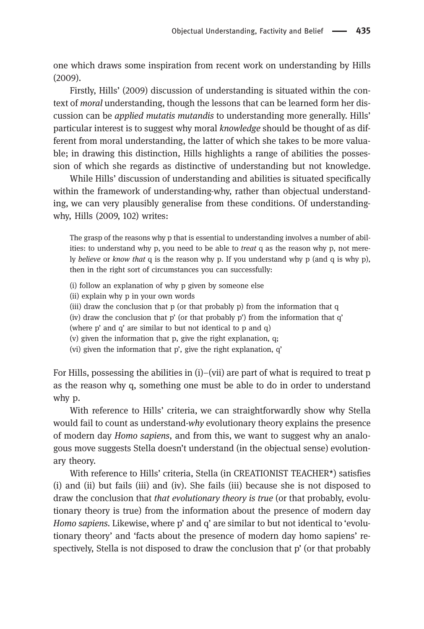one which draws some inspiration from recent work on understanding by Hills (2009).

Firstly, Hills' (2009) discussion of understanding is situated within the context of moral understanding, though the lessons that can be learned form her discussion can be applied mutatis mutandis to understanding more generally. Hills' particular interest is to suggest why moral knowledge should be thought of as different from moral understanding, the latter of which she takes to be more valuable; in drawing this distinction, Hills highlights a range of abilities the possession of which she regards as distinctive of understanding but not knowledge.

While Hills' discussion of understanding and abilities is situated specifically within the framework of understanding-why, rather than objectual understanding, we can very plausibly generalise from these conditions. Of understandingwhy, Hills (2009, 102) writes:

The grasp of the reasons why p that is essential to understanding involves a number of abilities: to understand why p, you need to be able to *treat*  $q$  as the reason why p, not merely *believe* or *know that* q is the reason why p. If you understand why p (and q is why p), then in the right sort of circumstances you can successfully:

(i) follow an explanation of why p given by someone else

(ii) explain why p in your own words

(iii) draw the conclusion that  $p$  (or that probably  $p$ ) from the information that  $q$ 

(iv) draw the conclusion that p' (or that probably p') from the information that q'

(where p' and q' are similar to but not identical to p and q)

(v) given the information that p, give the right explanation, q;

(vi) given the information that p', give the right explanation, q'

For Hills, possessing the abilities in  $(i)$ – $(vii)$  are part of what is required to treat p as the reason why q, something one must be able to do in order to understand why p.

With reference to Hills' criteria, we can straightforwardly show why Stella would fail to count as understand-why evolutionary theory explains the presence of modern day Homo sapiens, and from this, we want to suggest why an analogous move suggests Stella doesn't understand (in the objectual sense) evolutionary theory.

With reference to Hills' criteria, Stella (in CREATIONIST TEACHER\*) satisfies (i) and (ii) but fails (iii) and (iv). She fails (iii) because she is not disposed to draw the conclusion that that evolutionary theory is true (or that probably, evolutionary theory is true) from the information about the presence of modern day Homo sapiens. Likewise, where p' and q' are similar to but not identical to 'evolutionary theory' and 'facts about the presence of modern day homo sapiens' respectively, Stella is not disposed to draw the conclusion that p' (or that probably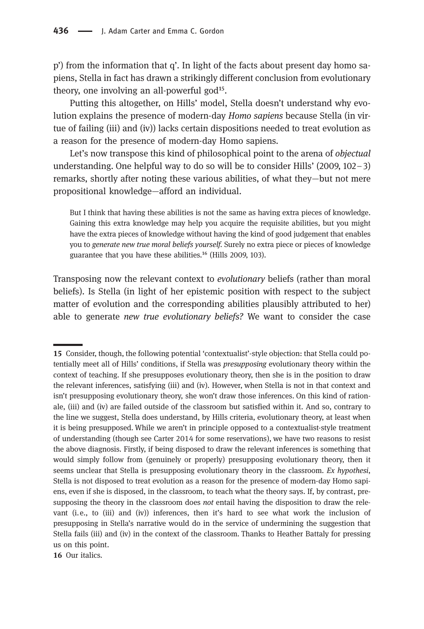p') from the information that q'. In light of the facts about present day homo sapiens, Stella in fact has drawn a strikingly different conclusion from evolutionary theory, one involving an all-powerful god $^{15}$ .

Putting this altogether, on Hills' model, Stella doesn't understand why evolution explains the presence of modern-day Homo sapiens because Stella (in virtue of failing (iii) and (iv)) lacks certain dispositions needed to treat evolution as a reason for the presence of modern-day Homo sapiens.

Let's now transpose this kind of philosophical point to the arena of objectual understanding. One helpful way to do so will be to consider Hills' (2009, 102–3) remarks, shortly after noting these various abilities, of what they—but not mere propositional knowledge—afford an individual.

But I think that having these abilities is not the same as having extra pieces of knowledge. Gaining this extra knowledge may help you acquire the requisite abilities, but you might have the extra pieces of knowledge without having the kind of good judgement that enables you to generate new true moral beliefs yourself. Surely no extra piece or pieces of knowledge guarantee that you have these abilities.<sup>16</sup> (Hills 2009, 103).

Transposing now the relevant context to *evolutionary* beliefs (rather than moral beliefs). Is Stella (in light of her epistemic position with respect to the subject matter of evolution and the corresponding abilities plausibly attributed to her) able to generate new true evolutionary beliefs? We want to consider the case

16 Our italics.

Consider, though, the following potential 'contextualist'-style objection: that Stella could potentially meet all of Hills' conditions, if Stella was presupposing evolutionary theory within the context of teaching. If she presupposes evolutionary theory, then she is in the position to draw the relevant inferences, satisfying (iii) and (iv). However, when Stella is not in that context and isn't presupposing evolutionary theory, she won't draw those inferences. On this kind of rationale, (iii) and (iv) are failed outside of the classroom but satisfied within it. And so, contrary to the line we suggest, Stella does understand, by Hills criteria, evolutionary theory, at least when it is being presupposed. While we aren't in principle opposed to a contextualist-style treatment of understanding (though see Carter 2014 for some reservations), we have two reasons to resist the above diagnosis. Firstly, if being disposed to draw the relevant inferences is something that would simply follow from (genuinely or properly) presupposing evolutionary theory, then it seems unclear that Stella is presupposing evolutionary theory in the classroom. Ex hypothesi, Stella is not disposed to treat evolution as a reason for the presence of modern-day Homo sapiens, even if she is disposed, in the classroom, to teach what the theory says. If, by contrast, presupposing the theory in the classroom does not entail having the disposition to draw the relevant (i.e., to (iii) and (iv)) inferences, then it's hard to see what work the inclusion of presupposing in Stella's narrative would do in the service of undermining the suggestion that Stella fails (iii) and (iv) in the context of the classroom. Thanks to Heather Battaly for pressing us on this point.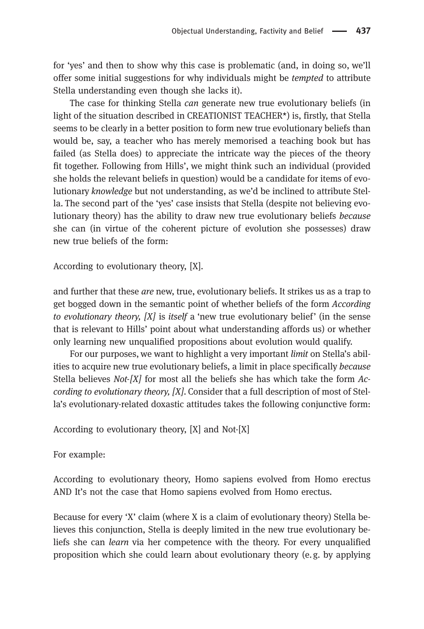for 'yes' and then to show why this case is problematic (and, in doing so, we'll offer some initial suggestions for why individuals might be tempted to attribute Stella understanding even though she lacks it).

The case for thinking Stella can generate new true evolutionary beliefs (in light of the situation described in CREATIONIST TEACHER\*) is, firstly, that Stella seems to be clearly in a better position to form new true evolutionary beliefs than would be, say, a teacher who has merely memorised a teaching book but has failed (as Stella does) to appreciate the intricate way the pieces of the theory fit together. Following from Hills', we might think such an individual (provided she holds the relevant beliefs in question) would be a candidate for items of evolutionary knowledge but not understanding, as we'd be inclined to attribute Stella. The second part of the 'yes' case insists that Stella (despite not believing evolutionary theory) has the ability to draw new true evolutionary beliefs because she can (in virtue of the coherent picture of evolution she possesses) draw new true beliefs of the form:

According to evolutionary theory, [X].

and further that these are new, true, evolutionary beliefs. It strikes us as a trap to get bogged down in the semantic point of whether beliefs of the form According to evolutionary theory,  $[X]$  is itself a 'new true evolutionary belief' (in the sense that is relevant to Hills' point about what understanding affords us) or whether only learning new unqualified propositions about evolution would qualify.

For our purposes, we want to highlight a very important limit on Stella's abilities to acquire new true evolutionary beliefs, a limit in place specifically because Stella believes *Not-[X]* for most all the beliefs she has which take the form  $Ac$ cording to evolutionary theory,  $[X]$ . Consider that a full description of most of Stella's evolutionary-related doxastic attitudes takes the following conjunctive form:

According to evolutionary theory, [X] and Not-[X]

For example:

According to evolutionary theory, Homo sapiens evolved from Homo erectus AND It's not the case that Homo sapiens evolved from Homo erectus.

Because for every 'X' claim (where X is a claim of evolutionary theory) Stella believes this conjunction, Stella is deeply limited in the new true evolutionary beliefs she can learn via her competence with the theory. For every unqualified proposition which she could learn about evolutionary theory (e. g. by applying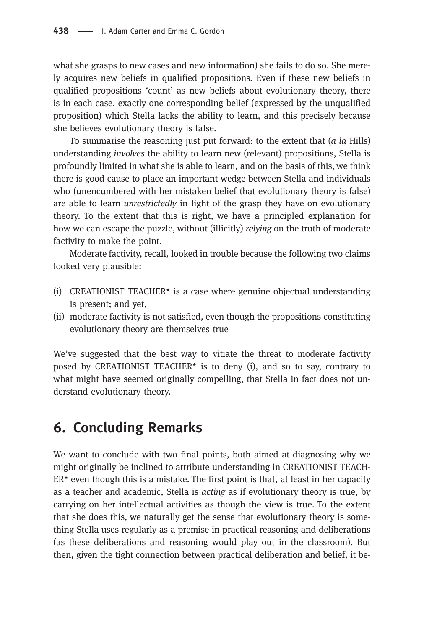what she grasps to new cases and new information) she fails to do so. She merely acquires new beliefs in qualified propositions. Even if these new beliefs in qualified propositions 'count' as new beliefs about evolutionary theory, there is in each case, exactly one corresponding belief (expressed by the unqualified proposition) which Stella lacks the ability to learn, and this precisely because she believes evolutionary theory is false.

To summarise the reasoning just put forward: to the extent that  $(a \, la \, Hils)$ understanding involves the ability to learn new (relevant) propositions, Stella is profoundly limited in what she is able to learn, and on the basis of this, we think there is good cause to place an important wedge between Stella and individuals who (unencumbered with her mistaken belief that evolutionary theory is false) are able to learn *unrestrictedly* in light of the grasp they have on evolutionary theory. To the extent that this is right, we have a principled explanation for how we can escape the puzzle, without (illicitly) relying on the truth of moderate factivity to make the point.

Moderate factivity, recall, looked in trouble because the following two claims looked very plausible:

- (i) CREATIONIST TEACHER $\star$  is a case where genuine objectual understanding is present; and yet,
- (ii) moderate factivity is not satisfied, even though the propositions constituting evolutionary theory are themselves true

We've suggested that the best way to vitiate the threat to moderate factivity posed by CREATIONIST TEACHER<sup>\*</sup> is to deny (i), and so to say, contrary to what might have seemed originally compelling, that Stella in fact does not understand evolutionary theory.

## 6. Concluding Remarks

We want to conclude with two final points, both aimed at diagnosing why we might originally be inclined to attribute understanding in CREATIONIST TEACH- $ER*$  even though this is a mistake. The first point is that, at least in her capacity as a teacher and academic, Stella is *acting* as if evolutionary theory is true, by carrying on her intellectual activities as though the view is true. To the extent that she does this, we naturally get the sense that evolutionary theory is something Stella uses regularly as a premise in practical reasoning and deliberations (as these deliberations and reasoning would play out in the classroom). But then, given the tight connection between practical deliberation and belief, it be-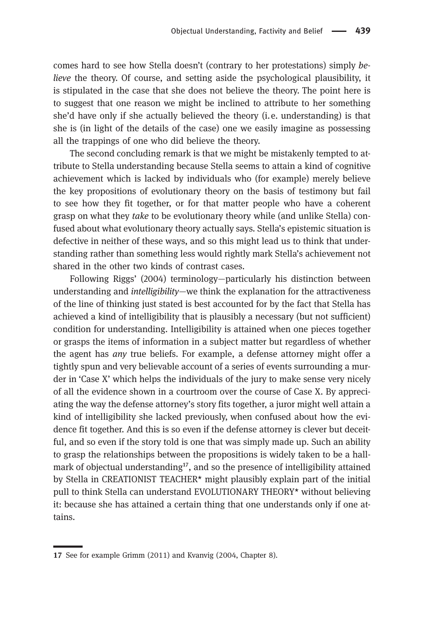comes hard to see how Stella doesn't (contrary to her protestations) simply believe the theory. Of course, and setting aside the psychological plausibility, it is stipulated in the case that she does not believe the theory. The point here is to suggest that one reason we might be inclined to attribute to her something she'd have only if she actually believed the theory (i.e. understanding) is that she is (in light of the details of the case) one we easily imagine as possessing all the trappings of one who did believe the theory.

The second concluding remark is that we might be mistakenly tempted to attribute to Stella understanding because Stella seems to attain a kind of cognitive achievement which is lacked by individuals who (for example) merely believe the key propositions of evolutionary theory on the basis of testimony but fail to see how they fit together, or for that matter people who have a coherent grasp on what they take to be evolutionary theory while (and unlike Stella) confused about what evolutionary theory actually says. Stella's epistemic situation is defective in neither of these ways, and so this might lead us to think that understanding rather than something less would rightly mark Stella's achievement not shared in the other two kinds of contrast cases.

Following Riggs' (2004) terminology—particularly his distinction between understanding and *intelligibility*—we think the explanation for the attractiveness of the line of thinking just stated is best accounted for by the fact that Stella has achieved a kind of intelligibility that is plausibly a necessary (but not sufficient) condition for understanding. Intelligibility is attained when one pieces together or grasps the items of information in a subject matter but regardless of whether the agent has any true beliefs. For example, a defense attorney might offer a tightly spun and very believable account of a series of events surrounding a murder in 'Case X' which helps the individuals of the jury to make sense very nicely of all the evidence shown in a courtroom over the course of Case X. By appreciating the way the defense attorney's story fits together, a juror might well attain a kind of intelligibility she lacked previously, when confused about how the evidence fit together. And this is so even if the defense attorney is clever but deceitful, and so even if the story told is one that was simply made up. Such an ability to grasp the relationships between the propositions is widely taken to be a hallmark of objectual understanding<sup>17</sup>, and so the presence of intelligibility attained by Stella in CREATIONIST TEACHER\* might plausibly explain part of the initial pull to think Stella can understand EVOLUTIONARY THEORY\* without believing it: because she has attained a certain thing that one understands only if one attains.

<sup>17</sup> See for example Grimm  $(2011)$  and Kvanvig  $(2004,$  Chapter 8).